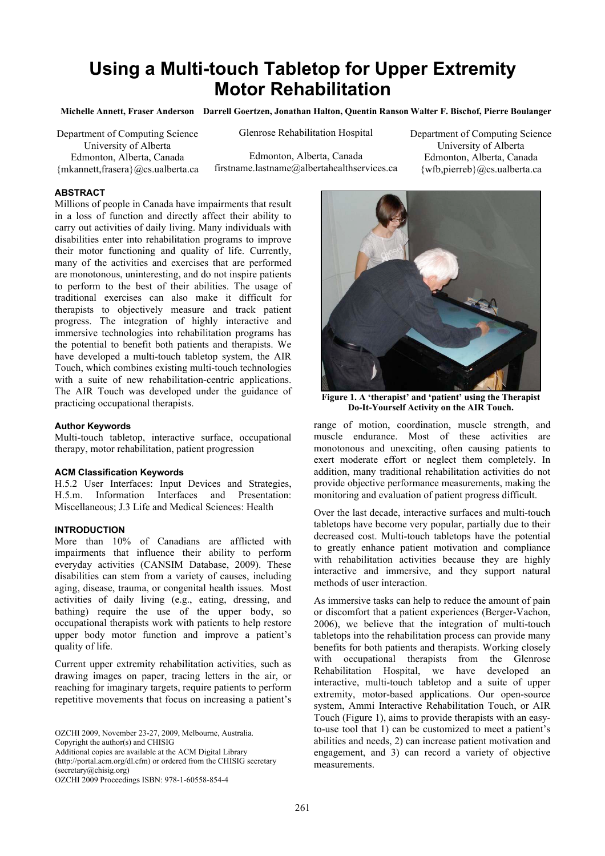# **Using a Multi-touch Tabletop for Upper Extremity Motor Rehabilitation**

**Michelle Annett, Fraser Anderson Darrell Goertzen, Jonathan Halton, Quentin Ranson Walter F. Bischof, Pierre Boulanger**

Department of Computing Science

University of Alberta Edmonton, Alberta, Canada {mkannett,frasera}@cs.ualberta.ca Glenrose Rehabilitation Hospital

Edmonton, Alberta, Canada firstname.lastname@albertahealthservices.ca Department of Computing Science University of Alberta Edmonton, Alberta, Canada {wfb,pierreb}@cs.ualberta.ca

# **ABSTRACT**

Millions of people in Canada have impairments that result in a loss of function and directly affect their ability to carry out activities of daily living. Many individuals with disabilities enter into rehabilitation programs to improve their motor functioning and quality of life. Currently, many of the activities and exercises that are performed are monotonous, uninteresting, and do not inspire patients to perform to the best of their abilities. The usage of traditional exercises can also make it difficult for therapists to objectively measure and track patient progress. The integration of highly interactive and immersive technologies into rehabilitation programs has the potential to benefit both patients and therapists. We have developed a multi-touch tabletop system, the AIR Touch, which combines existing multi-touch technologies with a suite of new rehabilitation-centric applications. The AIR Touch was developed under the guidance of practicing occupational therapists.

#### **Author Keywords**

Multi-touch tabletop, interactive surface, occupational therapy, motor rehabilitation, patient progression

#### **ACM Classification Keywords**

H.5.2 User Interfaces: Input Devices and Strategies, H.5.m. Information Interfaces and Presentation: Miscellaneous; J.3 Life and Medical Sciences: Health

# **INTRODUCTION**

More than 10% of Canadians are afflicted with impairments that influence their ability to perform everyday activities (CANSIM Database, 2009). These disabilities can stem from a variety of causes, including aging, disease, trauma, or congenital health issues. Most activities of daily living (e.g., eating, dressing, and bathing) require the use of the upper body, so occupational therapists work with patients to help restore upper body motor function and improve a patient's quality of life.

Current upper extremity rehabilitation activities, such as drawing images on paper, tracing letters in the air, or reaching for imaginary targets, require patients to perform repetitive movements that focus on increasing a patient's

OZCHI 2009, November 23-27, 2009, Melbourne, Australia.

Copyright the author(s) and CHISIG

Additional copies are available at the ACM Digital Library (http://portal.acm.org/dl.cfm) or ordered from the CHISIG secretary (secretary@chisig.org)

OZCHI 2009 Proceedings ISBN: 978-1-60558-854-4



**Figure 1. A 'therapist' and 'patient' using the Therapist Do-It-Yourself Activity on the AIR Touch.** 

range of motion, coordination, muscle strength, and muscle endurance. Most of these activities are monotonous and unexciting, often causing patients to exert moderate effort or neglect them completely. In addition, many traditional rehabilitation activities do not provide objective performance measurements, making the monitoring and evaluation of patient progress difficult.

Over the last decade, interactive surfaces and multi-touch tabletops have become very popular, partially due to their decreased cost. Multi-touch tabletops have the potential to greatly enhance patient motivation and compliance with rehabilitation activities because they are highly interactive and immersive, and they support natural methods of user interaction.

As immersive tasks can help to reduce the amount of pain or discomfort that a patient experiences (Berger-Vachon, 2006), we believe that the integration of multi-touch tabletops into the rehabilitation process can provide many benefits for both patients and therapists. Working closely with occupational therapists from the Glenrose Rehabilitation Hospital, we have developed an interactive, multi-touch tabletop and a suite of upper extremity, motor-based applications. Our open-source system, Ammi Interactive Rehabilitation Touch, or AIR Touch (Figure 1), aims to provide therapists with an easyto-use tool that 1) can be customized to meet a patient's abilities and needs, 2) can increase patient motivation and engagement, and 3) can record a variety of objective measurements.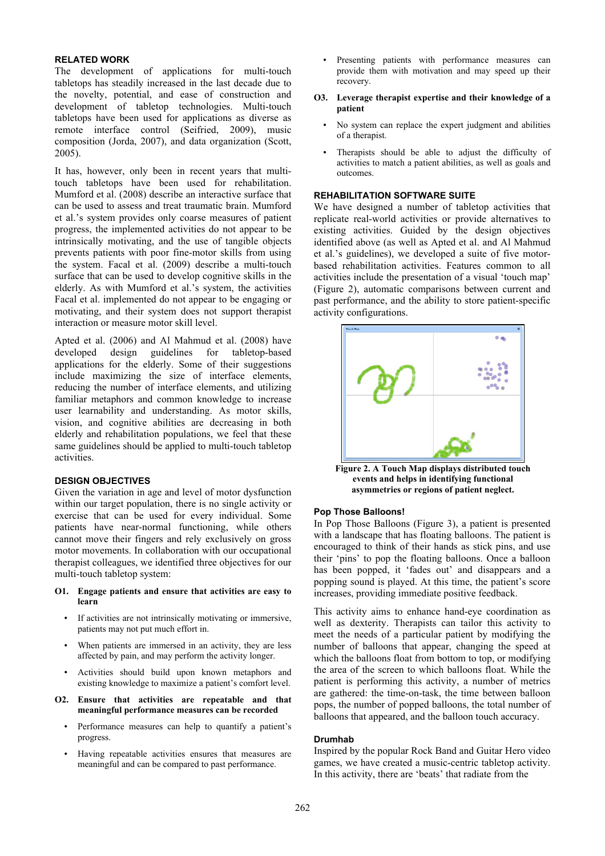### **RELATED WORK**

The development of applications for multi-touch tabletops has steadily increased in the last decade due to the novelty, potential, and ease of construction and development of tabletop technologies. Multi-touch tabletops have been used for applications as diverse as remote interface control (Seifried, 2009), music composition (Jorda, 2007), and data organization (Scott, 2005).

It has, however, only been in recent years that multitouch tabletops have been used for rehabilitation. Mumford et al. (2008) describe an interactive surface that can be used to assess and treat traumatic brain. Mumford et al.'s system provides only coarse measures of patient progress, the implemented activities do not appear to be intrinsically motivating, and the use of tangible objects prevents patients with poor fine-motor skills from using the system. Facal et al. (2009) describe a multi-touch surface that can be used to develop cognitive skills in the elderly. As with Mumford et al.'s system, the activities Facal et al. implemented do not appear to be engaging or motivating, and their system does not support therapist interaction or measure motor skill level.

Apted et al. (2006) and Al Mahmud et al. (2008) have developed design guidelines for tabletop-based applications for the elderly. Some of their suggestions include maximizing the size of interface elements, reducing the number of interface elements, and utilizing familiar metaphors and common knowledge to increase user learnability and understanding. As motor skills, vision, and cognitive abilities are decreasing in both elderly and rehabilitation populations, we feel that these same guidelines should be applied to multi-touch tabletop activities.

#### **DESIGN OBJECTIVES**

Given the variation in age and level of motor dysfunction within our target population, there is no single activity or exercise that can be used for every individual. Some patients have near-normal functioning, while others cannot move their fingers and rely exclusively on gross motor movements. In collaboration with our occupational therapist colleagues, we identified three objectives for our multi-touch tabletop system:

#### **O1. Engage patients and ensure that activities are easy to learn**

- If activities are not intrinsically motivating or immersive, patients may not put much effort in.
- When patients are immersed in an activity, they are less affected by pain, and may perform the activity longer.
- Activities should build upon known metaphors and existing knowledge to maximize a patient's comfort level.
- **O2. Ensure that activities are repeatable and that meaningful performance measures can be recorded** 
	- Performance measures can help to quantify a patient's progress.
	- Having repeatable activities ensures that measures are meaningful and can be compared to past performance.
- Presenting patients with performance measures can provide them with motivation and may speed up their recovery.
- **O3. Leverage therapist expertise and their knowledge of a patient**
	- No system can replace the expert judgment and abilities of a therapist.
	- Therapists should be able to adjust the difficulty of activities to match a patient abilities, as well as goals and outcomes.

#### **REHABILITATION SOFTWARE SUITE**

We have designed a number of tabletop activities that replicate real-world activities or provide alternatives to existing activities. Guided by the design objectives identified above (as well as Apted et al. and Al Mahmud et al.'s guidelines), we developed a suite of five motorbased rehabilitation activities. Features common to all activities include the presentation of a visual 'touch map' (Figure 2), automatic comparisons between current and past performance, and the ability to store patient-specific activity configurations.



**Figure 2. A Touch Map displays distributed touch events and helps in identifying functional asymmetries or regions of patient neglect.**

#### **Pop Those Balloons!**

In Pop Those Balloons (Figure 3), a patient is presented with a landscape that has floating balloons. The patient is encouraged to think of their hands as stick pins, and use their 'pins' to pop the floating balloons. Once a balloon has been popped, it 'fades out' and disappears and a popping sound is played. At this time, the patient's score increases, providing immediate positive feedback.

This activity aims to enhance hand-eye coordination as well as dexterity. Therapists can tailor this activity to meet the needs of a particular patient by modifying the number of balloons that appear, changing the speed at which the balloons float from bottom to top, or modifying the area of the screen to which balloons float. While the patient is performing this activity, a number of metrics are gathered: the time-on-task, the time between balloon pops, the number of popped balloons, the total number of balloons that appeared, and the balloon touch accuracy.

### **Drumhab**

Inspired by the popular Rock Band and Guitar Hero video games, we have created a music-centric tabletop activity. In this activity, there are 'beats' that radiate from the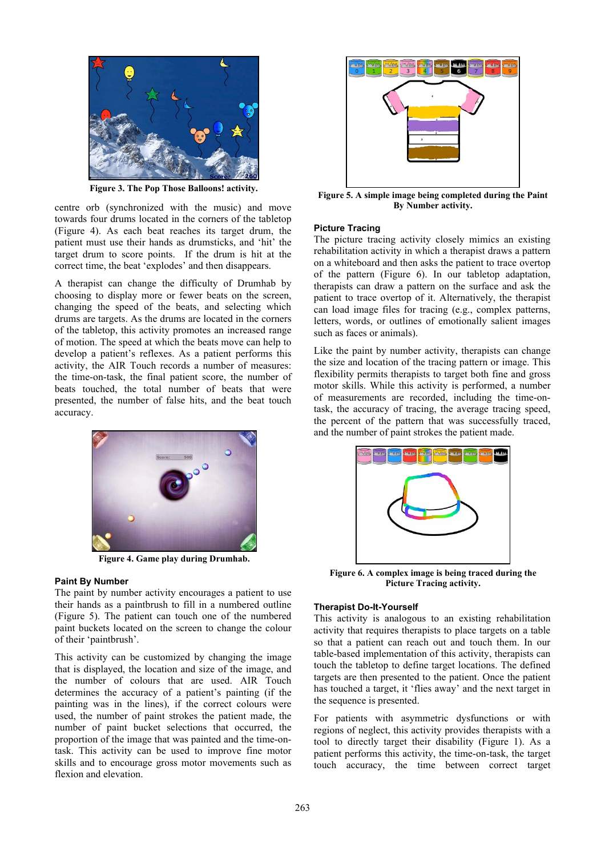

**Figure 3. The Pop Those Balloons! activity.**

centre orb (synchronized with the music) and move towards four drums located in the corners of the tabletop (Figure 4). As each beat reaches its target drum, the patient must use their hands as drumsticks, and 'hit' the target drum to score points. If the drum is hit at the correct time, the beat 'explodes' and then disappears.

A therapist can change the difficulty of Drumhab by choosing to display more or fewer beats on the screen, changing the speed of the beats, and selecting which drums are targets. As the drums are located in the corners of the tabletop, this activity promotes an increased range of motion. The speed at which the beats move can help to develop a patient's reflexes. As a patient performs this activity, the AIR Touch records a number of measures: the time-on-task, the final patient score, the number of beats touched, the total number of beats that were presented, the number of false hits, and the beat touch accuracy.



**Figure 4. Game play during Drumhab.**

#### **Paint By Number**

The paint by number activity encourages a patient to use their hands as a paintbrush to fill in a numbered outline (Figure 5). The patient can touch one of the numbered paint buckets located on the screen to change the colour of their 'paintbrush'.

This activity can be customized by changing the image that is displayed, the location and size of the image, and the number of colours that are used. AIR Touch determines the accuracy of a patient's painting (if the painting was in the lines), if the correct colours were used, the number of paint strokes the patient made, the number of paint bucket selections that occurred, the proportion of the image that was painted and the time-ontask. This activity can be used to improve fine motor skills and to encourage gross motor movements such as flexion and elevation.



**Figure 5. A simple image being completed during the Paint By Number activity.**

# **Picture Tracing**

The picture tracing activity closely mimics an existing rehabilitation activity in which a therapist draws a pattern on a whiteboard and then asks the patient to trace overtop of the pattern (Figure 6). In our tabletop adaptation, therapists can draw a pattern on the surface and ask the patient to trace overtop of it. Alternatively, the therapist can load image files for tracing (e.g., complex patterns, letters, words, or outlines of emotionally salient images such as faces or animals).

Like the paint by number activity, therapists can change the size and location of the tracing pattern or image. This flexibility permits therapists to target both fine and gross motor skills. While this activity is performed, a number of measurements are recorded, including the time-ontask, the accuracy of tracing, the average tracing speed, the percent of the pattern that was successfully traced, and the number of paint strokes the patient made.



**Figure 6. A complex image is being traced during the Picture Tracing activity.**

#### **Therapist Do-It-Yourself**

This activity is analogous to an existing rehabilitation activity that requires therapists to place targets on a table so that a patient can reach out and touch them. In our table-based implementation of this activity, therapists can touch the tabletop to define target locations. The defined targets are then presented to the patient. Once the patient has touched a target, it 'flies away' and the next target in the sequence is presented.

For patients with asymmetric dysfunctions or with regions of neglect, this activity provides therapists with a tool to directly target their disability (Figure 1). As a patient performs this activity, the time-on-task, the target touch accuracy, the time between correct target